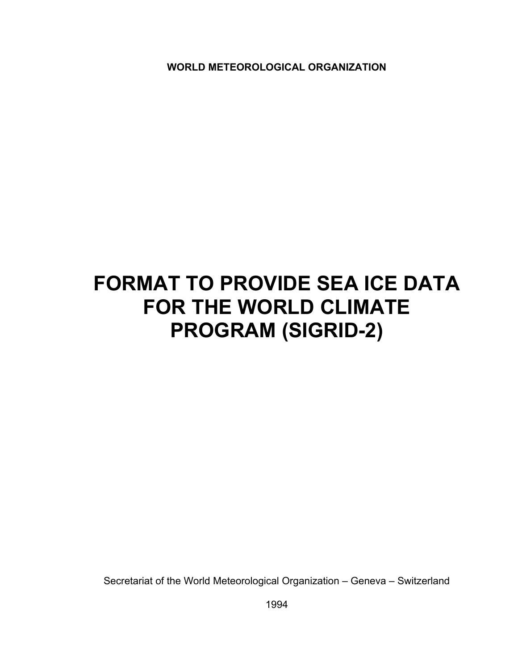**WORLD METEOROLOGICAL ORGANIZATION** 

# **FORMAT TO PROVIDE SEA ICE DATA FOR THE WORLD CLIMATE PROGRAM (SIGRID-2)**

Secretariat of the World Meteorological Organization – Geneva – Switzerland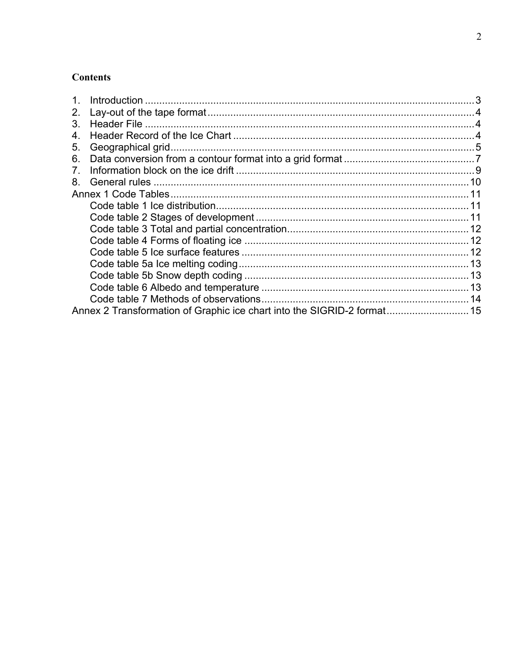# **Contents**

| 2. |                                                                         |  |
|----|-------------------------------------------------------------------------|--|
| 3. |                                                                         |  |
| 4. |                                                                         |  |
| 5. |                                                                         |  |
| 6. |                                                                         |  |
|    |                                                                         |  |
| 8. |                                                                         |  |
|    |                                                                         |  |
|    |                                                                         |  |
|    |                                                                         |  |
|    |                                                                         |  |
|    |                                                                         |  |
|    |                                                                         |  |
|    |                                                                         |  |
|    |                                                                         |  |
|    |                                                                         |  |
|    |                                                                         |  |
|    | Annex 2 Transformation of Graphic ice chart into the SIGRID-2 format 15 |  |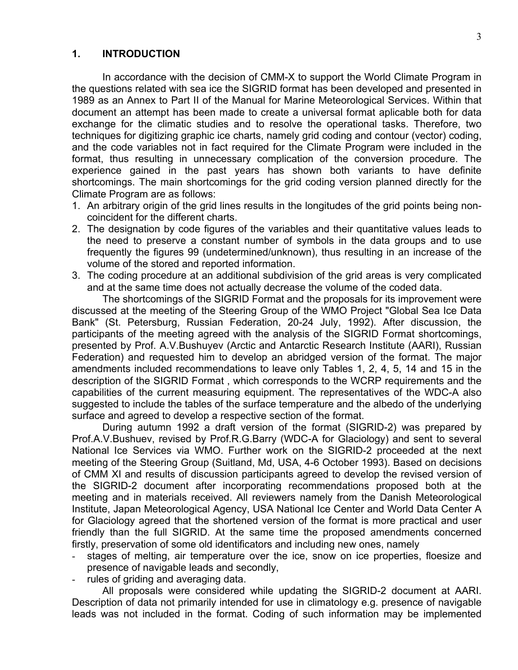## <span id="page-2-0"></span>**1. INTRODUCTION**

In accordance with the decision of CMM-X to support the World Climate Program in the questions related with sea ice the SIGRID format has been developed and presented in 1989 as an Annex to Part II of the Manual for Marine Meteorological Services. Within that document an attempt has been made to create a universal format aplicable both for data exchange for the climatic studies and to resolve the operational tasks. Therefore, two techniques for digitizing graphic ice charts, namely grid coding and contour (vector) coding, and the code variables not in fact required for the Climate Program were included in the format, thus resulting in unnecessary complication of the conversion procedure. The experience gained in the past years has shown both variants to have definite shortcomings. The main shortcomings for the grid coding version planned directly for the Climate Program are as follows:

- 1. An arbitrary origin of the grid lines results in the longitudes of the grid points being noncoincident for the different charts.
- 2. The designation by code figures of the variables and their quantitative values leads to the need to preserve a constant number of symbols in the data groups and to use frequently the figures 99 (undetermined/unknown), thus resulting in an increase of the volume of the stored and reported information.
- 3. The coding procedure at an additional subdivision of the grid areas is very complicated and at the same time does not actually decrease the volume of the coded data.

The shortcomings of the SIGRID Format and the proposals for its improvement were discussed at the meeting of the Steering Group of the WMO Project "Global Sea Ice Data Bank" (St. Petersburg, Russian Federation, 20-24 July, 1992). After discussion, the participants of the meeting agreed with the analysis of the SIGRID Format shortcomings, presented by Prof. A.V.Bushuyev (Arctic and Antarctic Research Institute (AARI), Russian Federation) and requested him to develop an abridged version of the format. The major amendments included recommendations to leave only Tables 1, 2, 4, 5, 14 and 15 in the description of the SIGRID Format , which corresponds to the WCRP requirements and the capabilities of the current measuring equipment. The representatives of the WDC-A also suggested to include the tables of the surface temperature and the albedo of the underlying surface and agreed to develop a respective section of the format.

During autumn 1992 a draft version of the format (SIGRID-2) was prepared by Prof.A.V.Bushuev, revised by Prof.R.G.Barry (WDC-A for Glaciology) and sent to several National Ice Services via WMO. Further work on the SIGRID-2 proceeded at the next meeting of the Steering Group (Suitland, Md, USA, 4-6 October 1993). Based on decisions of CMM XI and results of discussion participants agreed to develop the revised version of the SIGRID-2 document after incorporating recommendations proposed both at the meeting and in materials received. All reviewers namely from the Danish Meteorological Institute, Japan Meteorological Agency, USA National Ice Center and World Data Center A for Glaciology agreed that the shortened version of the format is more practical and user friendly than the full SIGRID. At the same time the proposed amendments concerned firstly, preservation of some old identificators and including new ones, namely

- stages of melting, air temperature over the ice, snow on ice properties, floesize and presence of navigable leads and secondly,
- rules of griding and averaging data.

All proposals were considered while updating the SIGRID-2 document at AARI. Description of data not primarily intended for use in climatology e.g. presence of navigable leads was not included in the format. Coding of such information may be implemented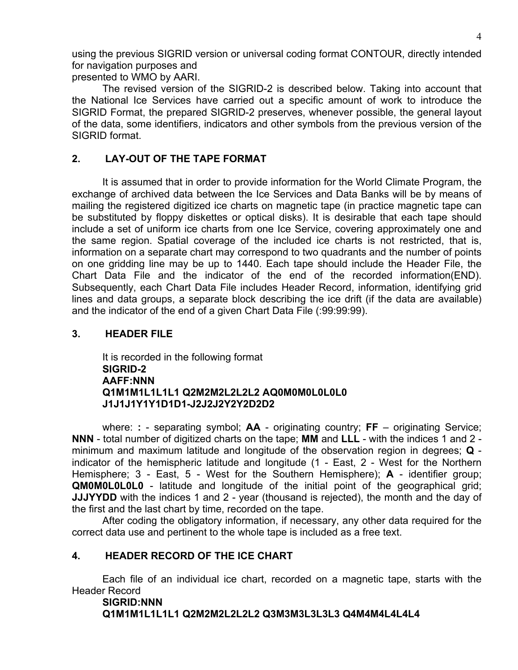<span id="page-3-0"></span>using the previous SIGRID version or universal coding format CONTOUR, directly intended for navigation purposes and

presented to WMO by AARI.

The revised version of the SIGRID-2 is described below. Taking into account that the National Ice Services have carried out a specific amount of work to introduce the SIGRID Format, the prepared SIGRID-2 preserves, whenever possible, the general layout of the data, some identifiers, indicators and other symbols from the previous version of the SIGRID format.

# **2. LAY-OUT OF THE TAPE FORMAT**

It is assumed that in order to provide information for the World Climate Program, the exchange of archived data between the Ice Services and Data Banks will be by means of mailing the registered digitized ice charts on magnetic tape (in practice magnetic tape can be substituted by floppy diskettes or optical disks). It is desirable that each tape should include a set of uniform ice charts from one Ice Service, covering approximately one and the same region. Spatial coverage of the included ice charts is not restricted, that is, information on a separate chart may correspond to two quadrants and the number of points on one gridding line may be up to 1440. Each tape should include the Header File, the Chart Data File and the indicator of the end of the recorded information(END). Subsequently, each Chart Data File includes Header Record, information, identifying grid lines and data groups, a separate block describing the ice drift (if the data are available) and the indicator of the end of a given Chart Data File (:99:99:99).

# **3. HEADER FILE**

It is recorded in the following format **SIGRID-2 AAFF:NNN Q1M1M1L1L1L1 Q2M2M2L2L2L2 AQ0M0M0L0L0L0 J1J1J1Y1Y1D1D1-J2J2J2Y2Y2D2D2** 

where: **:** - separating symbol; **AA** - originating country; **FF** – originating Service; **NNN** - total number of digitized charts on the tape; **MM** and **LLL** - with the indices 1 and 2 minimum and maximum latitude and longitude of the observation region in degrees; **Q**  indicator of the hemispheric latitude and longitude (1 - East, 2 - West for the Northern Hemisphere; 3 - East, 5 - West for the Southern Hemisphere); **A** - identifier group; **QM0M0L0L0L0** - latitude and longitude of the initial point of the geographical grid; **JJJYYDD** with the indices 1 and 2 - year (thousand is rejected), the month and the day of the first and the last chart by time, recorded on the tape.

After coding the obligatory information, if necessary, any other data required for the correct data use and pertinent to the whole tape is included as a free text.

# **4. HEADER RECORD OF THE ICE CHART**

Each file of an individual ice chart, recorded on a magnetic tape, starts with the Header Record

**SIGRID:NNN Q1M1M1L1L1L1 Q2M2M2L2L2L2 Q3M3M3L3L3L3 Q4M4M4L4L4L4**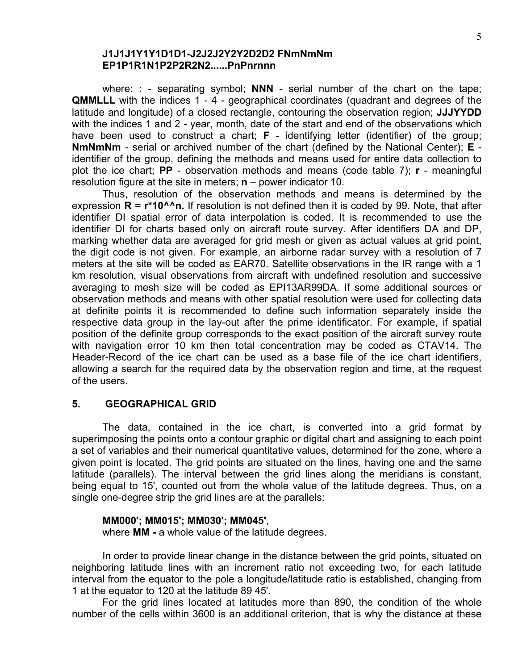# **J1J1J1Y1Y1D1D1-J2J2J2Y2Y2D2D2 FNmNmNm EP1P1R1N1P2P2R2N2......PnPnrnnn**

<span id="page-4-0"></span>where: **:** - separating symbol; **NNN** - serial number of the chart on the tape; **QMMLLL** with the indices 1 - 4 - geographical coordinates (quadrant and degrees of the latitude and longitude) of a closed rectangle, contouring the observation region; **JJJYYDD**  with the indices 1 and 2 - year, month, date of the start and end of the observations which have been used to construct a chart; **F** - identifying letter (identifier) of the group; **NmNmNm** - serial or archived number of the chart (defined by the National Center); **E**  identifier of the group, defining the methods and means used for entire data collection to plot the ice chart; **PP** - observation methods and means (code table 7); **r** - meaningful resolution figure at the site in meters; **n** – power indicator 10.

Thus, resolution of the observation methods and means is determined by the expression **R = r\*10^^n.** If resolution is not defined then it is coded by 99. Note, that after identifier DI spatial error of data interpolation is coded. It is recommended to use the identifier DI for charts based only on aircraft route survey. After identifiers DA and DP, marking whether data are averaged for grid mesh or given as actual values at grid point, the digit code is not given. For example, an airborne radar survey with a resolution of 7 meters at the site will be coded as EAR70. Satellite observations in the IR range with a 1 km resolution, visual observations from aircraft with undefined resolution and successive averaging to mesh size will be coded as EPI13AR99DA. If some additional sources or observation methods and means with other spatial resolution were used for collecting data at definite points it is recommended to define such information separately inside the respective data group in the lay-out after the prime identificator. For example, if spatial position of the definite group corresponds to the exact position of the aircraft survey route with navigation error 10 km then total concentration may be coded as CTAV14. The Header-Record of the ice chart can be used as a base file of the ice chart identifiers, allowing a search for the required data by the observation region and time, at the request of the users.

## **5. GEOGRAPHICAL GRID**

The data, contained in the ice chart, is converted into a grid format by superimposing the points onto a contour graphic or digital chart and assigning to each point a set of variables and their numerical quantitative values, determined for the zone, where a given point is located. The grid points are situated on the lines, having one and the same latitude (parallels). The interval between the grid lines along the meridians is constant, being equal to 15', counted out from the whole value of the latitude degrees. Thus, on a single one-degree strip the grid lines are at the parallels:

## **MM000'; MM015'; MM030'; MM045'**,

where **MM -** a whole value of the latitude degrees.

In order to provide linear change in the distance between the grid points, situated on neighboring latitude lines with an increment ratio not exceeding two, for each latitude interval from the equator to the pole a longitude/latitude ratio is established, changing from 1 at the equator to 120 at the latitude 89 45'.

For the grid lines located at latitudes more than 890, the condition of the whole number of the cells within 3600 is an additional criterion, that is why the distance at these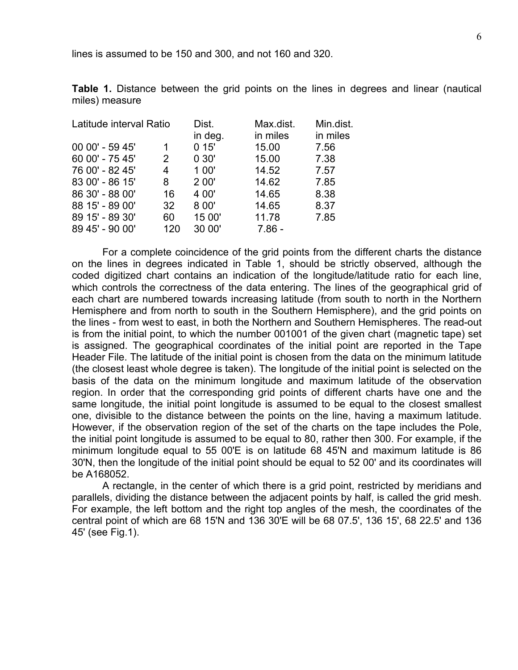lines is assumed to be 150 and 300, and not 160 and 320.

**Table 1.** Distance between the grid points on the lines in degrees and linear (nautical miles) measure

| Latitude interval Ratio |     | Dist.   | Max.dist. | Min.dist. |
|-------------------------|-----|---------|-----------|-----------|
|                         |     | in deg. | in miles  | in miles  |
| 00 00' - 59 45'         |     | 015'    | 15.00     | 7.56      |
| 60 00' - 75 45'         | 2   | 0.30'   | 15.00     | 7.38      |
| 76 00' - 82 45'         | 4   | 100'    | 14.52     | 7.57      |
| 83 00' - 86 15'         | 8   | 2 00'   | 14.62     | 7.85      |
| 86 30' - 88 00'         | 16  | 4 00'   | 14.65     | 8.38      |
| 88 15' - 89 00'         | 32  | 8 00'   | 14.65     | 8.37      |
| 89 15' - 89 30'         | 60  | 15 00'  | 11.78     | 7.85      |
| 89 45' - 90 00'         | 120 | 30 00'  | $7.86 -$  |           |

For a complete coincidence of the grid points from the different charts the distance on the lines in degrees indicated in Table 1, should be strictly observed, although the coded digitized chart contains an indication of the longitude/latitude ratio for each line, which controls the correctness of the data entering. The lines of the geographical grid of each chart are numbered towards increasing latitude (from south to north in the Northern Hemisphere and from north to south in the Southern Hemisphere), and the grid points on the lines - from west to east, in both the Northern and Southern Hemispheres. The read-out is from the initial point, to which the number 001001 of the given chart (magnetic tape) set is assigned. The geographical coordinates of the initial point are reported in the Tape Header File. The latitude of the initial point is chosen from the data on the minimum latitude (the closest least whole degree is taken). The longitude of the initial point is selected on the basis of the data on the minimum longitude and maximum latitude of the observation region. In order that the corresponding grid points of different charts have one and the same longitude, the initial point longitude is assumed to be equal to the closest smallest one, divisible to the distance between the points on the line, having a maximum latitude. However, if the observation region of the set of the charts on the tape includes the Pole, the initial point longitude is assumed to be equal to 80, rather then 300. For example, if the minimum longitude equal to 55 00'E is on latitude 68 45'N and maximum latitude is 86 30'N, then the longitude of the initial point should be equal to 52 00' and its coordinates will be A168052.

A rectangle, in the center of which there is a grid point, restricted by meridians and parallels, dividing the distance between the adjacent points by half, is called the grid mesh. For example, the left bottom and the right top angles of the mesh, the coordinates of the central point of which are 68 15'N and 136 30'E will be 68 07.5', 136 15', 68 22.5' and 136 45' (see Fig.1).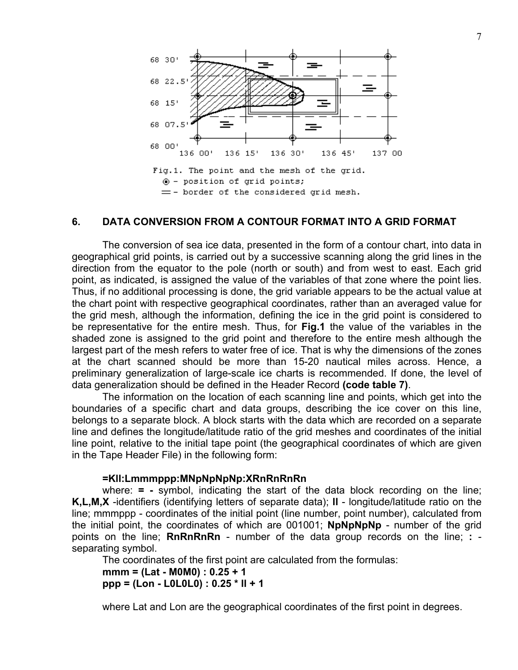<span id="page-6-0"></span>

## **6. DATA CONVERSION FROM A CONTOUR FORMAT INTO A GRID FORMAT**

The conversion of sea ice data, presented in the form of a contour chart, into data in geographical grid points, is carried out by a successive scanning along the grid lines in the direction from the equator to the pole (north or south) and from west to east. Each grid point, as indicated, is assigned the value of the variables of that zone where the point lies. Thus, if no additional processing is done, the grid variable appears to be the actual value at the chart point with respective geographical coordinates, rather than an averaged value for the grid mesh, although the information, defining the ice in the grid point is considered to be representative for the entire mesh. Thus, for **Fig.1** the value of the variables in the shaded zone is assigned to the grid point and therefore to the entire mesh although the largest part of the mesh refers to water free of ice. That is why the dimensions of the zones at the chart scanned should be more than 15-20 nautical miles across. Hence, a preliminary generalization of large-scale ice charts is recommended. If done, the level of data generalization should be defined in the Header Record **(code table 7)**.

The information on the location of each scanning line and points, which get into the boundaries of a specific chart and data groups, describing the ice cover on this line, belongs to a separate block. A block starts with the data which are recorded on a separate line and defines the longitude/latitude ratio of the grid meshes and coordinates of the initial line point, relative to the initial tape point (the geographical coordinates of which are given in the Tape Header File) in the following form:

#### **=Kll:Lmmmppp:MNpNpNpNp:XRnRnRnRn**

where: **= -** symbol, indicating the start of the data block recording on the line; **K,L,M,X** -identifiers (identifying letters of separate data); **ll** - longitude/latitude ratio on the line; mmmppp - coordinates of the initial point (line number, point number), calculated from the initial point, the coordinates of which are 001001; **NpNpNpNp** - number of the grid points on the line; **RnRnRnRn** - number of the data group records on the line; **:**  separating symbol.

The coordinates of the first point are calculated from the formulas:

**mmm = (Lat - M0M0) : 0.25 + 1 ppp = (Lon - L0L0L0) : 0.25 \* ll + 1** 

where Lat and Lon are the geographical coordinates of the first point in degrees.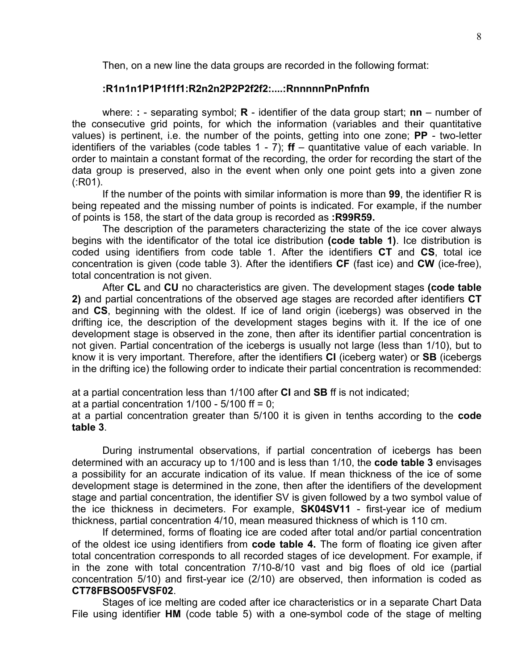Then, on a new line the data groups are recorded in the following format:

## **:R1n1n1P1P1f1f1:R2n2n2P2P2f2f2:....:RnnnnnPnPnfnfn**

where: **:** - separating symbol; **R** - identifier of the data group start; **nn** – number of the consecutive grid points, for which the information (variables and their quantitative values) is pertinent, i.e. the number of the points, getting into one zone; **PP** - two-letter identifiers of the variables (code tables 1 - 7); **ff** – quantitative value of each variable. In order to maintain a constant format of the recording, the order for recording the start of the data group is preserved, also in the event when only one point gets into a given zone (:R01).

If the number of the points with similar information is more than **99**, the identifier R is being repeated and the missing number of points is indicated. For example, if the number of points is 158, the start of the data group is recorded as **:R99R59.** 

The description of the parameters characterizing the state of the ice cover always begins with the identificator of the total ice distribution **(code table 1)**. Ice distribution is coded using identifiers from code table 1. After the identifiers **CT** and **CS**, total ice concentration is given (code table 3). After the identifiers **CF** (fast ice) and **CW** (ice-free), total concentration is not given.

After **CL** and **CU** no characteristics are given. The development stages **(code table 2)** and partial concentrations of the observed age stages are recorded after identifiers **CT**  and **CS**, beginning with the oldest. If ice of land origin (icebergs) was observed in the drifting ice, the description of the development stages begins with it. If the ice of one development stage is observed in the zone, then after its identifier partial concentration is not given. Partial concentration of the icebergs is usually not large (less than 1/10), but to know it is very important. Therefore, after the identifiers **CI** (iceberg water) or **SB** (icebergs in the drifting ice) the following order to indicate their partial concentration is recommended:

at a partial concentration less than 1/100 after **CI** and **SB** ff is not indicated;

at a partial concentration  $1/100 - 5/100$  ff = 0;

at a partial concentration greater than 5/100 it is given in tenths according to the **code table 3**.

During instrumental observations, if partial concentration of icebergs has been determined with an accuracy up to 1/100 and is less than 1/10, the **code table 3** envisages a possibility for an accurate indication of its value. If mean thickness of the ice of some development stage is determined in the zone, then after the identifiers of the development stage and partial concentration, the identifier SV is given followed by a two symbol value of the ice thickness in decimeters. For example, **SK04SV11** - first-year ice of medium thickness, partial concentration 4/10, mean measured thickness of which is 110 cm.

If determined, forms of floating ice are coded after total and/or partial concentration of the oldest ice using identifiers from **code table 4.** The form of floating ice given after total concentration corresponds to all recorded stages of ice development. For example, if in the zone with total concentration 7/10-8/10 vast and big floes of old ice (partial concentration 5/10) and first-year ice (2/10) are observed, then information is coded as **CT78FBSO05FVSF02**.

Stages of ice melting are coded after ice characteristics or in a separate Chart Data File using identifier **HM** (code table 5) with a one-symbol code of the stage of melting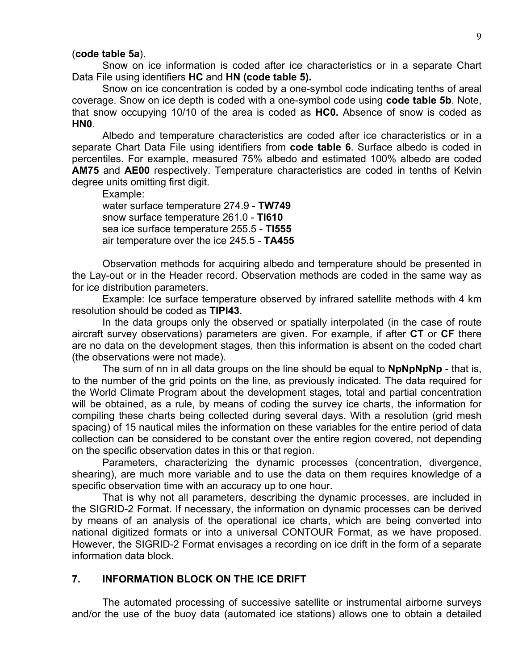#### <span id="page-8-0"></span>(**code table 5a**).

Snow on ice information is coded after ice characteristics or in a separate Chart Data File using identifiers **HC** and **HN (code table 5).** 

Snow on ice concentration is coded by a one-symbol code indicating tenths of areal coverage. Snow on ice depth is coded with a one-symbol code using **code table 5b**. Note, that snow occupying 10/10 of the area is coded as **HC0.** Absence of snow is coded as **HN0**.

Albedo and temperature characteristics are coded after ice characteristics or in a separate Chart Data File using identifiers from **code table 6**. Surface albedo is coded in percentiles. For example, measured 75% albedo and estimated 100% albedo are coded **AM75** and **AE00** respectively. Temperature characteristics are coded in tenths of Kelvin degree units omitting first digit.

Example: water surface temperature 274.9 - **TW749** 

snow surface temperature 261.0 - **TI610**  sea ice surface temperature 255.5 - **TI555**  air temperature over the ice 245.5 - **TA455**

Observation methods for acquiring albedo and temperature should be presented in the Lay-out or in the Header record. Observation methods are coded in the same way as for ice distribution parameters.

Example: Ice surface temperature observed by infrared satellite methods with 4 km resolution should be coded as **TIPI43**.

In the data groups only the observed or spatially interpolated (in the case of route aircraft survey observations) parameters are given. For example, if after **CT** or **CF** there are no data on the development stages, then this information is absent on the coded chart (the observations were not made).

The sum of nn in all data groups on the line should be equal to **NpNpNpNp** - that is, to the number of the grid points on the line, as previously indicated. The data required for the World Climate Program about the development stages, total and partial concentration will be obtained, as a rule, by means of coding the survey ice charts, the information for compiling these charts being collected during several days. With a resolution (grid mesh spacing) of 15 nautical miles the information on these variables for the entire period of data collection can be considered to be constant over the entire region covered, not depending on the specific observation dates in this or that region.

Parameters, characterizing the dynamic processes (concentration, divergence, shearing), are much more variable and to use the data on them requires knowledge of a specific observation time with an accuracy up to one hour.

That is why not all parameters, describing the dynamic processes, are included in the SIGRID-2 Format. If necessary, the information on dynamic processes can be derived by means of an analysis of the operational ice charts, which are being converted into national digitized formats or into a universal CONTOUR Format, as we have proposed. However, the SIGRID-2 Format envisages a recording on ice drift in the form of a separate information data block.

## **7. INFORMATION BLOCK ON THE ICE DRIFT**

The automated processing of successive satellite or instrumental airborne surveys and/or the use of the buoy data (automated ice stations) allows one to obtain a detailed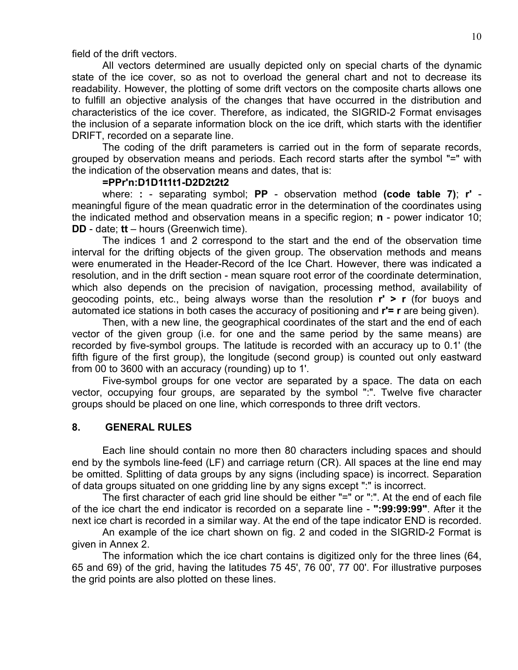<span id="page-9-0"></span>field of the drift vectors.

All vectors determined are usually depicted only on special charts of the dynamic state of the ice cover, so as not to overload the general chart and not to decrease its readability. However, the plotting of some drift vectors on the composite charts allows one to fulfill an objective analysis of the changes that have occurred in the distribution and characteristics of the ice cover. Therefore, as indicated, the SIGRID-2 Format envisages the inclusion of a separate information block on the ice drift, which starts with the identifier DRIFT, recorded on a separate line.

The coding of the drift parameters is carried out in the form of separate records, grouped by observation means and periods. Each record starts after the symbol "=" with the indication of the observation means and dates, that is:

#### **=PPr'n:D1D1t1t1-D2D2t2t2**

where: **:** - separating symbol; **PP** - observation method **(code table 7)**; **r'**  meaningful figure of the mean quadratic error in the determination of the coordinates using the indicated method and observation means in a specific region; **n** - power indicator 10; **DD** - date; **tt** – hours (Greenwich time).

The indices 1 and 2 correspond to the start and the end of the observation time interval for the drifting objects of the given group. The observation methods and means were enumerated in the Header-Record of the Ice Chart. However, there was indicated a resolution, and in the drift section - mean square root error of the coordinate determination, which also depends on the precision of navigation, processing method, availability of geocoding points, etc., being always worse than the resolution **r' > r** (for buoys and automated ice stations in both cases the accuracy of positioning and **r'= r** are being given).

Then, with a new line, the geographical coordinates of the start and the end of each vector of the given group (i.e. for one and the same period by the same means) are recorded by five-symbol groups. The latitude is recorded with an accuracy up to 0.1' (the fifth figure of the first group), the longitude (second group) is counted out only eastward from 00 to 3600 with an accuracy (rounding) up to 1'.

Five-symbol groups for one vector are separated by a space. The data on each vector, occupying four groups, are separated by the symbol ":". Twelve five character groups should be placed on one line, which corresponds to three drift vectors.

# **8. GENERAL RULES**

Each line should contain no more then 80 characters including spaces and should end by the symbols line-feed (LF) and carriage return (CR). All spaces at the line end may be omitted. Splitting of data groups by any signs (including space) is incorrect. Separation of data groups situated on one gridding line by any signs except ":" is incorrect.

The first character of each grid line should be either "=" or ":". At the end of each file of the ice chart the end indicator is recorded on a separate line - **":99:99:99"**. After it the next ice chart is recorded in a similar way. At the end of the tape indicator END is recorded.

An example of the ice chart shown on fig. 2 and coded in the SIGRID-2 Format is given in Annex 2.

The information which the ice chart contains is digitized only for the three lines (64, 65 and 69) of the grid, having the latitudes 75 45', 76 00', 77 00'. For illustrative purposes the grid points are also plotted on these lines.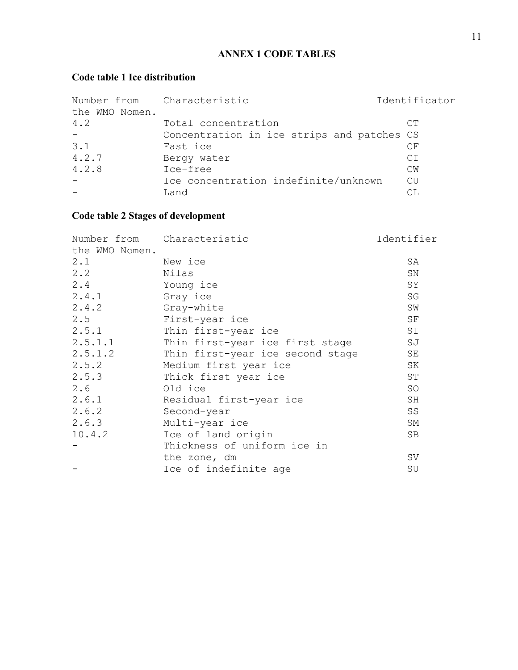# **ANNEX 1 CODE TABLES**

# <span id="page-10-0"></span>**Code table 1 Ice distribution**

| Number from Characteristic<br>the WMO Nomen. |                                            | Identificator |
|----------------------------------------------|--------------------------------------------|---------------|
| 4.2                                          | Total concentration                        | CТ            |
|                                              | Concentration in ice strips and patches CS |               |
| 3.1                                          | Fast ice                                   | СF            |
| 4.2.7                                        | Bergy water                                | CI            |
| 4.2.8                                        | Ice-free                                   | <b>CM</b>     |
|                                              | Ice concentration indefinite/unknown       | CU            |
|                                              | Land                                       | СT.           |

# **Code table 2 Stages of development**

|                | Number from Characteristic       | Identifier          |
|----------------|----------------------------------|---------------------|
| the WMO Nomen. |                                  |                     |
| 2.1            | New ice                          | SA                  |
| 2, 2           | Nilas                            | SN                  |
| 2.4            | Young ice                        | SY                  |
| 2.4.1          | Gray ice                         | $\operatorname{SG}$ |
| 2.4.2          | Gray-white                       | SW                  |
| 2.5            | First-year ice                   | SF                  |
| 2.5.1          | Thin first-year ice              | SI                  |
| 2.5.1.1        | Thin first-year ice first stage  | SJ                  |
| 2.5.1.2        | Thin first-year ice second stage | SE                  |
| 2.5.2          | Medium first year ice            | SK                  |
| 2.5.3          | Thick first year ice             | ST                  |
| 2.6            | Old ice                          | SO                  |
| 2.6.1          | Residual first-year ice          | SH                  |
| 2.6.2          | Second-year                      | SS                  |
| 2.6.3          | Multi-year ice                   | SΜ                  |
| 10.4.2         | Ice of land origin               | SB                  |
|                | Thickness of uniform ice in      |                     |
|                | the zone, dm                     | SV                  |
|                | Ice of indefinite age            | SU                  |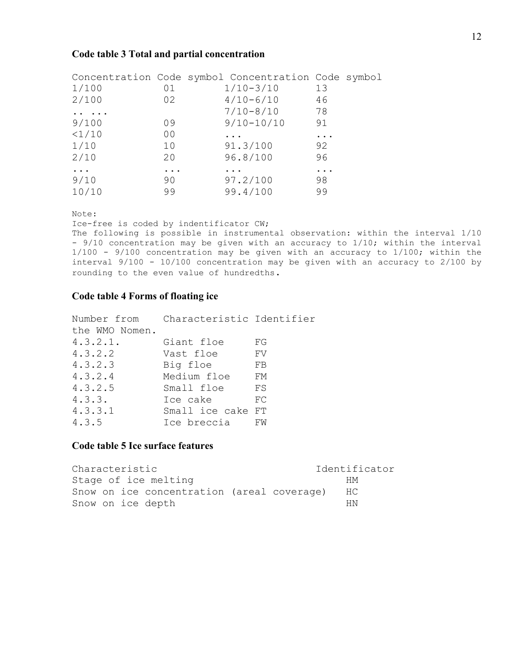#### <span id="page-11-0"></span>**Code table 3 Total and partial concentration**

|          |           | Concentration Code symbol Concentration Code symbol |    |  |
|----------|-----------|-----------------------------------------------------|----|--|
| 1/100    | 01        | $1/10 - 3/10$                                       | 13 |  |
| 2/100    | 02        | $4/10 - 6/10$                                       | 46 |  |
|          |           | $7/10 - 8/10$                                       | 78 |  |
| 9/100    | 09        | $9/10 - 10/10$                                      | 91 |  |
| <1/10    | 00        | .                                                   | .  |  |
| 1/10     | 10        | 91.3/100                                            | 92 |  |
| 2/10     | 20        | 96.8/100                                            | 96 |  |
| $\cdots$ | $\ddotsc$ |                                                     | .  |  |
| 9/10     | 90        | 97.2/100                                            | 98 |  |
| 10/10    | 99        | 99.4/100                                            | 99 |  |

Note:

Ice-free is coded by indentificator CW;

The following is possible in instrumental observation: within the interval 1/10 - 9/10 concentration may be given with an accuracy to 1/10; within the interval 1/100 - 9/100 concentration may be given with an accuracy to 1/100; within the interval 9/100 - 10/100 concentration may be given with an accuracy to 2/100 by rounding to the even value of hundredths.

#### **Code table 4 Forms of floating ice**

|                | Number from Characteristic Identifier |     |
|----------------|---------------------------------------|-----|
| the WMO Nomen. |                                       |     |
| 4.3.2.1.       | Giant floe                            | FG  |
| 4.3.2.2        | Vast floe                             | FV  |
| 4.3.2.3        | Big floe                              | FB  |
| 4.3.2.4        | Medium floe                           | FМ  |
| 4.3.2.5        | Small floe                            | FS  |
| 4.3.3.         | Ice cake                              | FC. |
| 4.3.3.1        | Small ice cake FT                     |     |
| 4.3.5          | Ice breccia                           | FW  |

#### **Code table 5 Ice surface features**

| Characteristic                             | Identificator |
|--------------------------------------------|---------------|
| Stage of ice melting                       | HМ            |
| Snow on ice concentration (areal coverage) | HC.           |
| Snow on ice depth                          | НN            |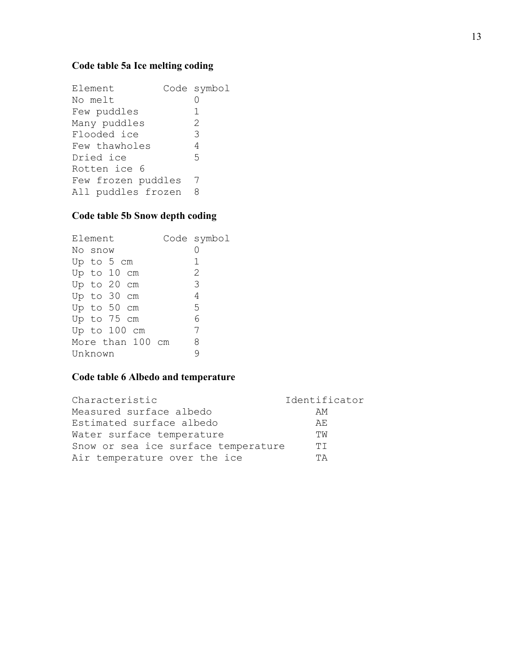# <span id="page-12-0"></span>**Code table 5a Ice melting coding**

Element Code symbol No melt 0 Few puddles 1<br>Many puddles 2 Many puddles 2 Flooded ice 3 Few thawholes 4 Dried ice 5 Rotten ice 6 Few frozen puddles 7<br>All puddles frozen 8 All puddles frozen

# **Code table 5b Snow depth coding**

| Element |         |             |                  |  | Code symbol |
|---------|---------|-------------|------------------|--|-------------|
|         | No snow |             |                  |  |             |
|         |         | Up to 5 cm  |                  |  | 1           |
|         |         | Up to 10 cm |                  |  | 2           |
|         |         | Up to 20 cm |                  |  | 3           |
|         |         | Up to 30 cm |                  |  | 4           |
|         |         | Up to 50 cm |                  |  | 5           |
|         |         | Up to 75 cm |                  |  | 6           |
|         |         |             | Up to 100 cm     |  | 7           |
|         |         |             | More than 100 cm |  | 8           |
| Unknown |         |             |                  |  |             |

# **Code table 6 Albedo and temperature**

| Characteristic                      | Identificator |
|-------------------------------------|---------------|
| Measured surface albedo             | AМ            |
| Estimated surface albedo            | AF.           |
| Water surface temperature           | ΠW            |
| Snow or sea ice surface temperature | ТT            |
| Air temperature over the ice        | ΤA            |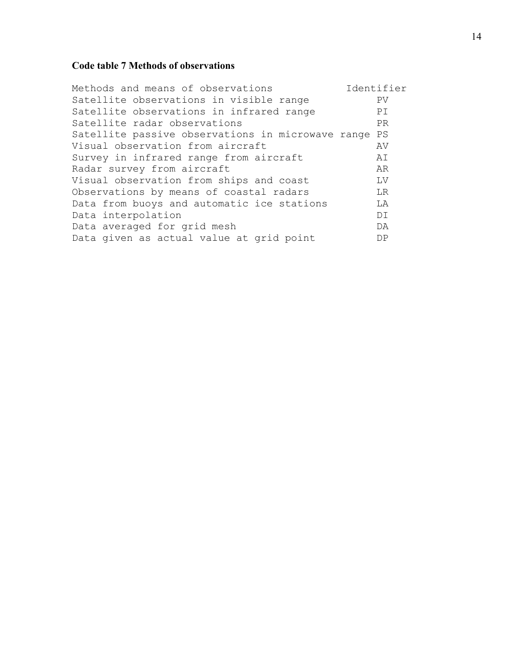# <span id="page-13-0"></span>**Code table 7 Methods of observations**

| Methods and means of observations                    | Identifier |
|------------------------------------------------------|------------|
| Satellite observations in visible range              | PV         |
| Satellite observations in infrared range             | PI         |
| Satellite radar observations                         | <b>PR</b>  |
| Satellite passive observations in microwave range PS |            |
| Visual observation from aircraft                     | AV         |
| Survey in infrared range from aircraft               | AΙ         |
| Radar survey from aircraft                           | AR         |
| Visual observation from ships and coast              | LV         |
| Observations by means of coastal radars              | LR         |
| Data from buoys and automatic ice stations           | LA         |
| Data interpolation                                   | DI         |
| Data averaged for grid mesh                          | DA         |
| Data given as actual value at grid point             | DP         |